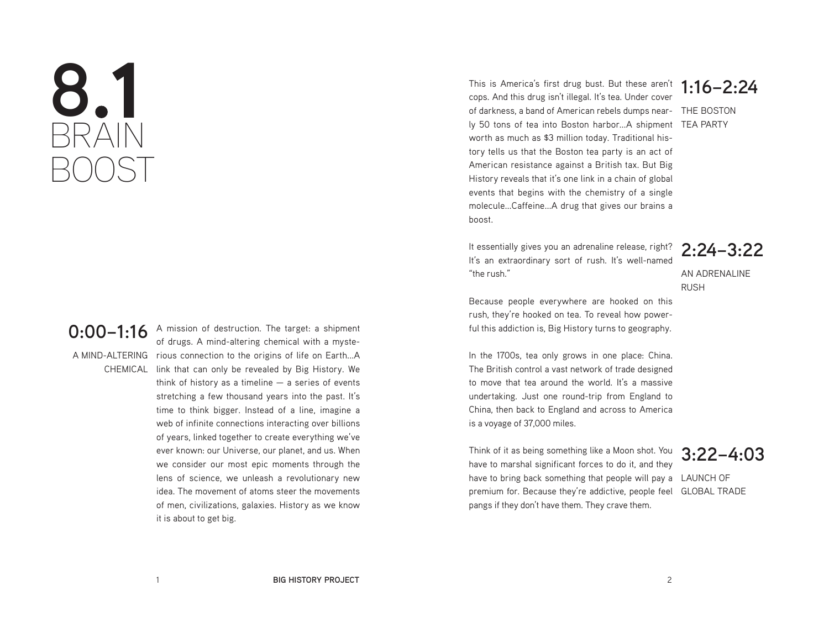# **8.1** BRAIN BOOST

# **0:00–1:16**

A mission of destruction. The target: a shipment of drugs. A mind-altering chemical with a myste-A MIND-ALTERING rious connection to the origins of life on Earth...A CHEMICAL link that can only be revealed by Big History. We think of history as a timeline  $-$  a series of events stretching a few thousand years into the past. It's time to think bigger. Instead of a line, imagine a web of infinite connections interacting over billions of years, linked together to create everything we've ever known: our Universe, our planet, and us. When we consider our most epic moments through the lens of science, we unleash a revolutionary new idea. The movement of atoms steer the movements of men, civilizations, galaxies. History as we know it is about to get big.

**1:16–2:24** of darkness, a band of American rebels dumps near- THE BOSTON ly 50 tons of tea into Boston harbor...A shipment TEA PARTY This is America's first drug bust. But these aren't cops. And this drug isn't illegal. It's tea. Under cover worth as much as \$3 million today. Traditional history tells us that the Boston tea party is an act of American resistance against a British tax. But Big History reveals that it's one link in a chain of global events that begins with the chemistry of a single molecule...Caffeine...A drug that gives our brains a boost.

It essentially gives you an adrenaline release, right? It's an extraordinary sort of rush. It's well-named "the rush."

**2:24–3:22** AN ADRENALINE

RUSH Because people everywhere are hooked on this rush, they're hooked on tea. To reveal how powerful this addiction is, Big History turns to geography.

In the 1700s, tea only grows in one place: China. The British control a vast network of trade designed to move that tea around the world. It's a massive undertaking. Just one round-trip from England to China, then back to England and across to America is a voyage of 37,000 miles.

have to bring back something that people will pay a LAUNCH OF premium for. Because they're addictive, people feel GLOBAL TRADE Think of it as being something like a Moon shot. You have to marshal significant forces to do it, and they pangs if they don't have them. They crave them.

**3:22–4:03**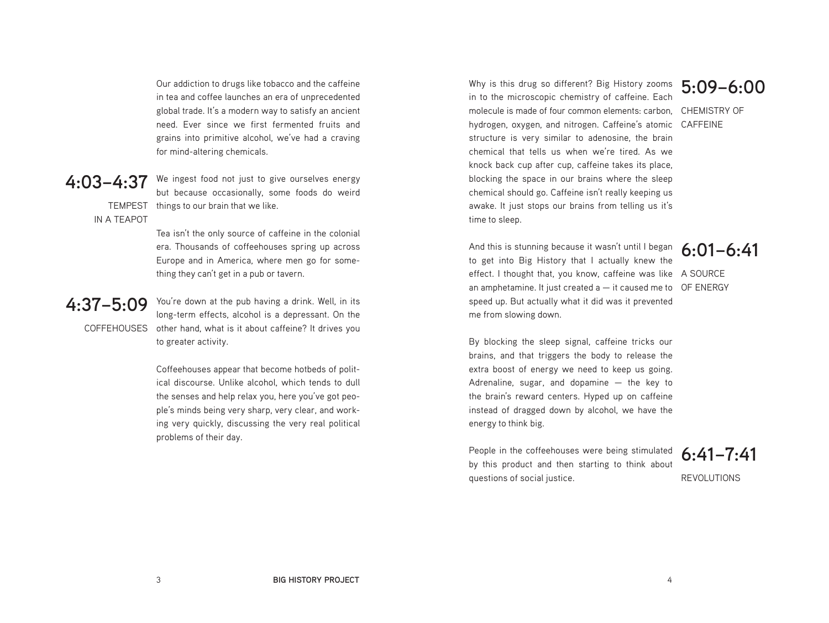Our addiction to drugs like tobacco and the caffeine in tea and coffee launches an era of unprecedented global trade. It's a modern way to satisfy an ancient need. Ever since we first fermented fruits and grains into primitive alcohol, we've had a craving for mind-altering chemicals.

### **4:03–4:37**

TEMPEST things to our brain that we like. We ingest food not just to give ourselves energy but because occasionally, some foods do weird

IN A TEAPOT

Tea isn't the only source of caffeine in the colonial era. Thousands of coffeehouses spring up across Europe and in America, where men go for something they can't get in a pub or tavern.

# **4:37–5:09**

COFFEHOUSES other hand, what is it about caffeine? It drives you You're down at the pub having a drink. Well, in its long-term effects, alcohol is a depressant. On the to greater activity.

> Coffeehouses appear that become hotbeds of political discourse. Unlike alcohol, which tends to dull the senses and help relax you, here you've got people's minds being very sharp, very clear, and working very quickly, discussing the very real political problems of their day.

Why is this drug so different? Big History zooms  $5:09-6:00$ molecule is made of four common elements: carbon, CHEMISTRY OF hydrogen, oxygen, and nitrogen. Caffeine's atomic CAFFEINE in to the microscopic chemistry of caffeine. Each structure is very similar to adenosine, the brain chemical that tells us when we're tired. As we knock back cup after cup, caffeine takes its place, blocking the space in our brains where the sleep chemical should go. Caffeine isn't really keeping us awake. It just stops our brains from telling us it's time to sleep.

And this is stunning because it wasn't until I began  $6:01-6:41$ effect. I thought that, you know, caffeine was like A SOURCE an amphetamine. It just created a  $-$  it caused me to  $O$ F ENERGY to get into Big History that I actually knew the speed up. But actually what it did was it prevented me from slowing down.

By blocking the sleep signal, caffeine tricks our brains, and that triggers the body to release the extra boost of energy we need to keep us going. Adrenaline, sugar, and dopamine  $-$  the key to the brain's reward centers. Hyped up on caffeine instead of dragged down by alcohol, we have the energy to think big.

People in the coffeehouses were being stimulated by this product and then starting to think about questions of social justice.

**6:41–7:41**

REVOLUTIONS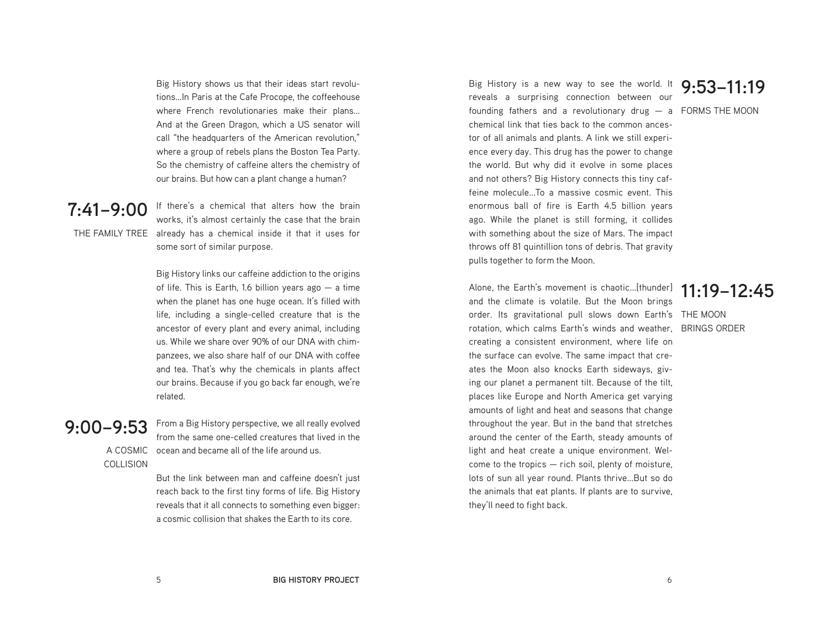Big History shows us that their ideas start revolutions...In Paris at the Cafe Procope, the coffeehouse where French revolutionaries make their plans... And at the Green Dragon, which a US senator will call "the headquarters of the American revolution," where a group of rebels plans the Boston Tea Party. So the chemistry of caffeine alters the chemistry of our brains. But how can a plant change a human?

 $7:41-9:00$  If there's a chemical that alters how the brain THE FAMILY TREE already has a chemical inside it that it uses for works, it's almost certainly the case that the brain some sort of similar purpose.

> Big History links our caffeine addiction to the origins of life. This is Earth, 1.6 billion years ago  $-$  a time when the planet has one huge ocean. It's filled with life, including a single-celled creature that is the ancestor of every plant and every animal, including us. While we share over 90% of our DNA with chimpanzees, we also share half of our DNA with coffee and tea. That's why the chemicals in plants affect our brains. Because if you go back far enough, we're related.

# **9:00–9:53**

COLLISION

A COSMIC From a Big History perspective, we all really evolved from the same one-celled creatures that lived in the ocean and became all of the life around us.

> But the link between man and caffeine doesn't just reach back to the first tiny forms of life. Big History reveals that it all connects to something even bigger: a cosmic collision that shakes the Earth to its core.

Big History is a new way to see the world. It **9:53–11:19** founding fathers and a revolutionary drug - a FORMS THE MOON reveals a surprising connection between our chemical link that ties back to the common ancestor of all animals and plants. A link we still experience every day. This drug has the power to change the world. But why did it evolve in some places and not others? Big History connects this tiny caffeine molecule...To a massive cosmic event. This enormous ball of fire is Earth 4.5 billion years ago. While the planet is still forming, it collides with something about the size of Mars. The impact throws off 81 quintillion tons of debris. That gravity pulls together to form the Moon.

order. Its gravitational pull slows down Earth's THE MOON rotation, which calms Earth's winds and weather, BRINGS ORDER Alone, the Earth's movement is chaotic...[thunder] and the climate is volatile. But the Moon brings creating a consistent environment, where life on the surface can evolve. The same impact that creates the Moon also knocks Earth sideways, giving our planet a permanent tilt. Because of the tilt, places like Europe and North America get varying amounts of light and heat and seasons that change throughout the year. But in the band that stretches around the center of the Earth, steady amounts of light and heat create a unique environment. Welcome to the tropics — rich soil, plenty of moisture, lots of sun all year round. Plants thrive...But so do the animals that eat plants. If plants are to survive, they'll need to fight back.

### **11:19–12:45**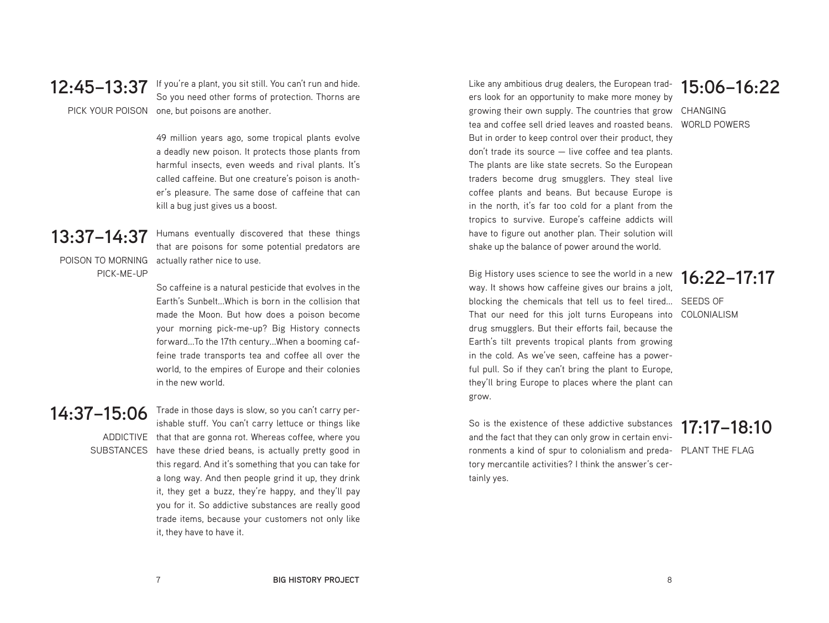$12:45-13:37$  If you're a plant, you sit still. You can't run and hide. PICK YOUR POISON one, but poisons are another. So you need other forms of protection. Thorns are

> 49 million years ago, some tropical plants evolve a deadly new poison. It protects those plants from harmful insects, even weeds and rival plants. It's called caffeine. But one creature's poison is another's pleasure. The same dose of caffeine that can kill a bug just gives us a boost.

# **13:37–14:37**

PICK-ME-UP

POISON TO MORNING actually rather nice to use. Humans eventually discovered that these things that are poisons for some potential predators are

> So caffeine is a natural pesticide that evolves in the Earth's Sunbelt. Which is born in the collision that made the Moon. But how does a poison become your morning pick-me-up? Big History connects forward...To the 17th century...When a booming caffeine trade transports tea and coffee all over the world, to the empires of Europe and their colonies in the new world.

## **14:37–15:06**

ADDICTIVE that that are gonna rot. Whereas coffee, where you SUBSTANCES have these dried beans, is actually pretty good in ishable stuff. You can't carry lettuce or things like this regard. And it's something that you can take for a long way. And then people grind it up, they drink it, they get a buzz, they're happy, and they'll pay you for it. So addictive substances are really good trade items, because your customers not only like it, they have to have it.

Trade in those days is slow, so you can't carry per-

growing their own supply. The countries that grow CHANGING Like any ambitious drug dealers, the European traders look for an opportunity to make more money by tea and coffee sell dried leaves and roasted beans. But in order to keep control over their product, they don't trade its source — live coffee and tea plants. The plants are like state secrets. So the European traders become drug smugglers. They steal live coffee plants and beans. But because Europe is in the north, it's far too cold for a plant from the tropics to survive. Europe's caffeine addicts will have to figure out another plan. Their solution will shake up the balance of power around the world.

blocking the chemicals that tell us to feel tired... SEEDS OF That our need for this jolt turns Europeans into COLONIALISM Big History uses science to see the world in a new way. It shows how caffeine gives our brains a jolt, drug smugglers. But their efforts fail, because the Earth's tilt prevents tropical plants from growing in the cold. As we've seen, caffeine has a powerful pull. So if they can't bring the plant to Europe, they'll bring Europe to places where the plant can grow.

ronments a kind of spur to colonialism and preda- PLANT THE FLAG So is the existence of these addictive substances and the fact that they can only grow in certain envitory mercantile activities? I think the answer's certainly yes.

# **15:06–16:22**

WORLD POWERS

# **16:22–17:17**

### **17:17–18:10**